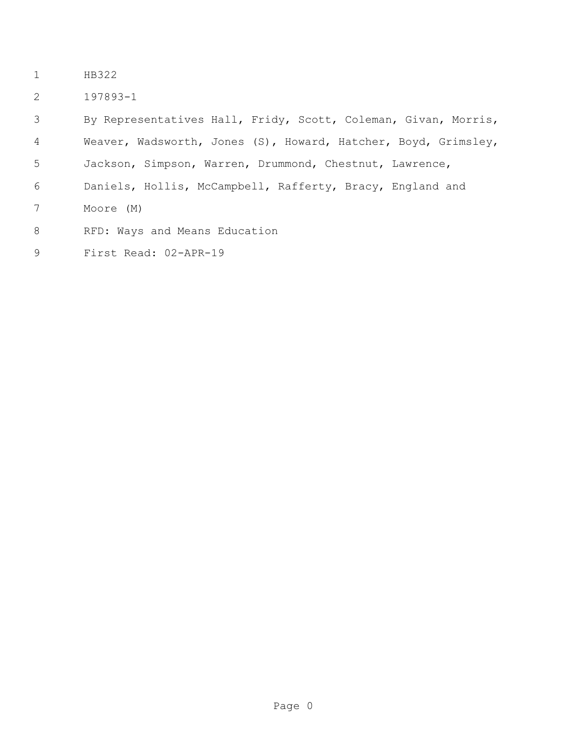- HB322
- 197893-1

 By Representatives Hall, Fridy, Scott, Coleman, Givan, Morris, Weaver, Wadsworth, Jones (S), Howard, Hatcher, Boyd, Grimsley, Jackson, Simpson, Warren, Drummond, Chestnut, Lawrence, Daniels, Hollis, McCampbell, Rafferty, Bracy, England and Moore (M) 8 RFD: Ways and Means Education First Read: 02-APR-19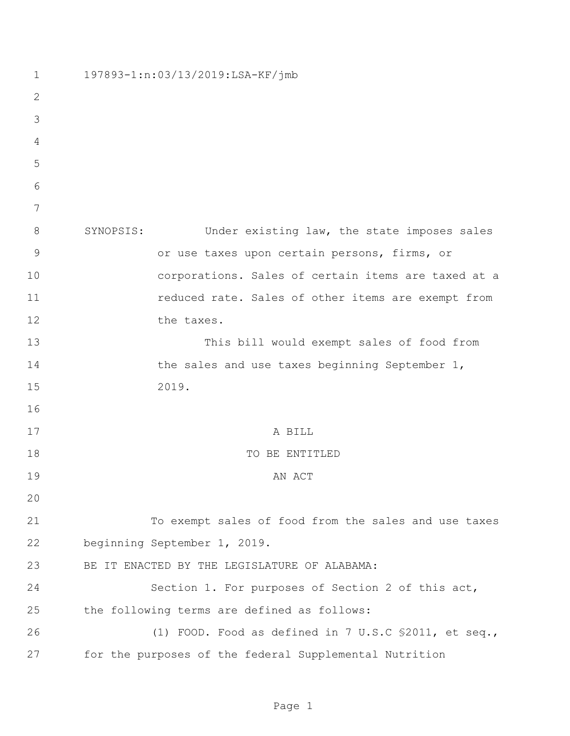| $\mathbf 1$    | 197893-1:n:03/13/2019:LSA-KF/jmb                         |
|----------------|----------------------------------------------------------|
| $\overline{2}$ |                                                          |
| 3              |                                                          |
| 4              |                                                          |
| 5              |                                                          |
| 6              |                                                          |
| 7              |                                                          |
| 8              | SYNOPSIS:<br>Under existing law, the state imposes sales |
| $\mathcal{G}$  | or use taxes upon certain persons, firms, or             |
| 10             | corporations. Sales of certain items are taxed at a      |
| 11             | reduced rate. Sales of other items are exempt from       |
| 12             | the taxes.                                               |
| 13             | This bill would exempt sales of food from                |
| 14             | the sales and use taxes beginning September 1,           |
| 15             | 2019.                                                    |
| 16             |                                                          |
| 17             | A BILL                                                   |
| 18             | TO BE ENTITLED                                           |
| 19             | AN ACT                                                   |
| 20             |                                                          |
| 21             | To exempt sales of food from the sales and use taxes     |
| 22             | beginning September 1, 2019.                             |
| 23             | BE IT ENACTED BY THE LEGISLATURE OF ALABAMA:             |
| 24             | Section 1. For purposes of Section 2 of this act,        |
| 25             | the following terms are defined as follows:              |
| 26             | (1) FOOD. Food as defined in 7 U.S.C \$2011, et seq.,    |
| 27             | for the purposes of the federal Supplemental Nutrition   |